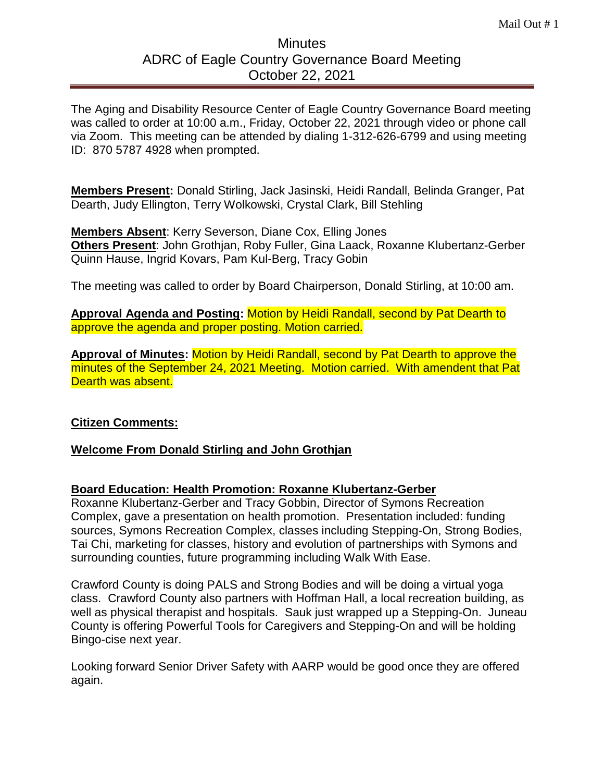## **Minutes** ADRC of Eagle Country Governance Board Meeting October 22, 2021

The Aging and Disability Resource Center of Eagle Country Governance Board meeting was called to order at 10:00 a.m., Friday, October 22, 2021 through video or phone call via Zoom. This meeting can be attended by dialing 1-312-626-6799 and using meeting ID: 870 5787 4928 when prompted.

**Members Present:** Donald Stirling, Jack Jasinski, Heidi Randall, Belinda Granger, Pat Dearth, Judy Ellington, Terry Wolkowski, Crystal Clark, Bill Stehling

**Members Absent**: Kerry Severson, Diane Cox, Elling Jones **Others Present**: John Grothjan, Roby Fuller, Gina Laack, Roxanne Klubertanz-Gerber Quinn Hause, Ingrid Kovars, Pam Kul-Berg, Tracy Gobin

The meeting was called to order by Board Chairperson, Donald Stirling, at 10:00 am.

**Approval Agenda and Posting:** Motion by Heidi Randall, second by Pat Dearth to approve the agenda and proper posting. Motion carried.

**Approval of Minutes:** Motion by Heidi Randall, second by Pat Dearth to approve the minutes of the September 24, 2021 Meeting. Motion carried. With amendent that Pat Dearth was absent.

## **Citizen Comments:**

### **Welcome From Donald Stirling and John Grothjan**

### **Board Education: Health Promotion: Roxanne Klubertanz-Gerber**

Roxanne Klubertanz-Gerber and Tracy Gobbin, Director of Symons Recreation Complex, gave a presentation on health promotion. Presentation included: funding sources, Symons Recreation Complex, classes including Stepping-On, Strong Bodies, Tai Chi, marketing for classes, history and evolution of partnerships with Symons and surrounding counties, future programming including Walk With Ease.

Crawford County is doing PALS and Strong Bodies and will be doing a virtual yoga class. Crawford County also partners with Hoffman Hall, a local recreation building, as well as physical therapist and hospitals. Sauk just wrapped up a Stepping-On. Juneau County is offering Powerful Tools for Caregivers and Stepping-On and will be holding Bingo-cise next year.

Looking forward Senior Driver Safety with AARP would be good once they are offered again.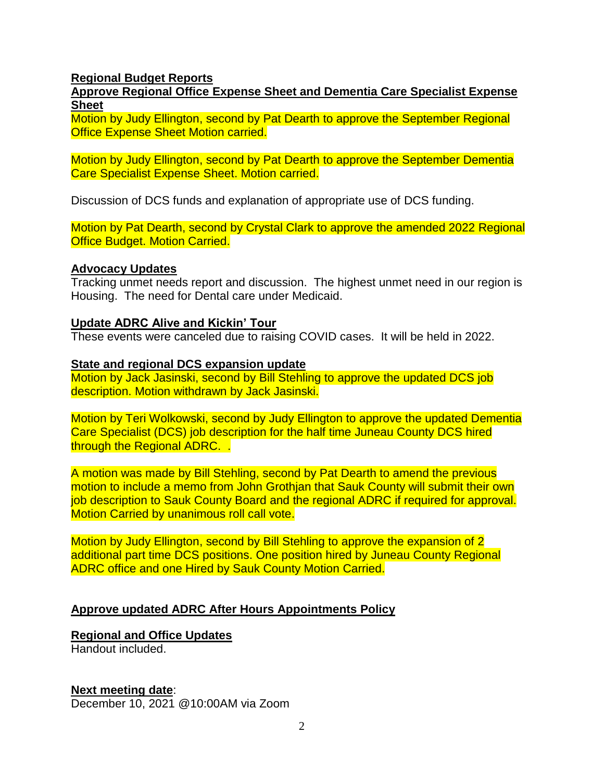#### **Regional Budget Reports**

**Approve Regional Office Expense Sheet and Dementia Care Specialist Expense Sheet**

Motion by Judy Ellington, second by Pat Dearth to approve the September Regional Office Expense Sheet Motion carried.

Motion by Judy Ellington, second by Pat Dearth to approve the September Dementia Care Specialist Expense Sheet. Motion carried.

Discussion of DCS funds and explanation of appropriate use of DCS funding.

Motion by Pat Dearth, second by Crystal Clark to approve the amended 2022 Regional Office Budget. Motion Carried.

#### **Advocacy Updates**

Tracking unmet needs report and discussion. The highest unmet need in our region is Housing. The need for Dental care under Medicaid.

#### **Update ADRC Alive and Kickin' Tour**

These events were canceled due to raising COVID cases. It will be held in 2022.

#### **State and regional DCS expansion update**

Motion by Jack Jasinski, second by Bill Stehling to approve the updated DCS job description. Motion withdrawn by Jack Jasinski.

Motion by Teri Wolkowski, second by Judy Ellington to approve the updated Dementia Care Specialist (DCS) job description for the half time Juneau County DCS hired through the Regional ADRC. .

A motion was made by Bill Stehling, second by Pat Dearth to amend the previous motion to include a memo from John Grothjan that Sauk County will submit their own job description to Sauk County Board and the regional ADRC if required for approval. Motion Carried by unanimous roll call vote.

Motion by Judy Ellington, second by Bill Stehling to approve the expansion of 2 additional part time DCS positions. One position hired by Juneau County Regional ADRC office and one Hired by Sauk County Motion Carried.

#### **Approve updated ADRC After Hours Appointments Policy**

# **Regional and Office Updates**

Handout included.

#### **Next meeting date**:

December 10, 2021 @10:00AM via Zoom